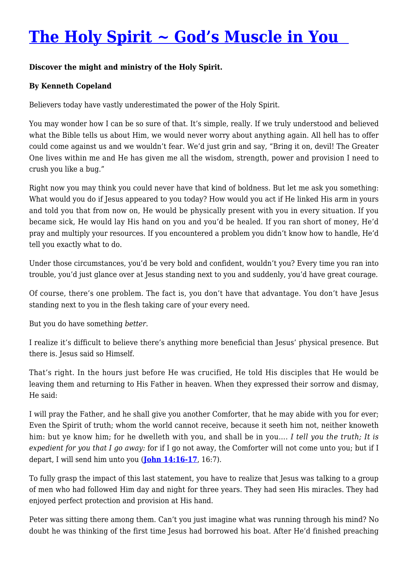# **[The Holy Spirit ~ God's Muscle in You](http://kennethcopelandministries.org/2014/06/holy-spirit-gods-muscle-in-you/)**

#### **Discover the might and ministry of the Holy Spirit.**

#### **By Kenneth Copeland**

Believers today have vastly underestimated the power of the Holy Spirit.

You may wonder how I can be so sure of that. It's simple, really. If we truly understood and believed what the Bible tells us about Him, we would never worry about anything again. All hell has to offer could come against us and we wouldn't fear. We'd just grin and say, "Bring it on, devil! The Greater One lives within me and He has given me all the wisdom, strength, power and provision I need to crush you like a bug."

Right now you may think you could never have that kind of boldness. But let me ask you something: What would you do if Jesus appeared to you today? How would you act if He linked His arm in yours and told you that from now on, He would be physically present with you in every situation. If you became sick, He would lay His hand on you and you'd be healed. If you ran short of money, He'd pray and multiply your resources. If you encountered a problem you didn't know how to handle, He'd tell you exactly what to do.

Under those circumstances, you'd be very bold and confident, wouldn't you? Every time you ran into trouble, you'd just glance over at Jesus standing next to you and suddenly, you'd have great courage.

Of course, there's one problem. The fact is, you don't have that advantage. You don't have Jesus standing next to you in the flesh taking care of your every need.

But you do have something *better*.

I realize it's difficult to believe there's anything more beneficial than Jesus' physical presence. But there is. Jesus said so Himself.

That's right. In the hours just before He was crucified, He told His disciples that He would be leaving them and returning to His Father in heaven. When they expressed their sorrow and dismay, He said:

I will pray the Father, and he shall give you another Comforter, that he may abide with you for ever; Even the Spirit of truth; whom the world cannot receive, because it seeth him not, neither knoweth him: but ye know him; for he dwelleth with you, and shall be in you…. *I tell you the truth; It is expedient for you that I go away:* for if I go not away, the Comforter will not come unto you; but if I depart, I will send him unto you (**[John 14:16-17](http://www.kcm.org/bible/5/JHN/14/16#v16)**, 16:7).

To fully grasp the impact of this last statement, you have to realize that Jesus was talking to a group of men who had followed Him day and night for three years. They had seen His miracles. They had enjoyed perfect protection and provision at His hand.

Peter was sitting there among them. Can't you just imagine what was running through his mind? No doubt he was thinking of the first time Jesus had borrowed his boat. After He'd finished preaching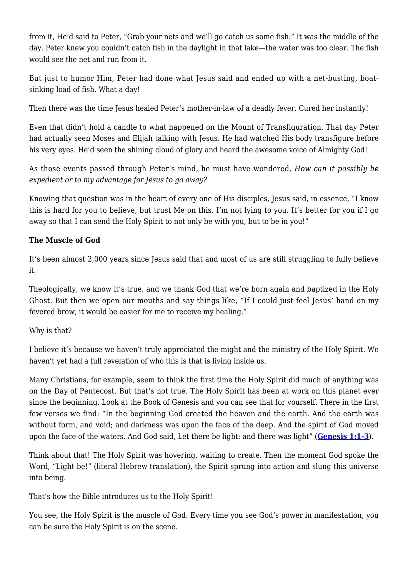from it, He'd said to Peter, "Grab your nets and we'll go catch us some fish." It was the middle of the day. Peter knew you couldn't catch fish in the daylight in that lake—the water was too clear. The fish would see the net and run from it.

But just to humor Him, Peter had done what Jesus said and ended up with a net-busting, boatsinking load of fish. What a day!

Then there was the time Jesus healed Peter's mother-in-law of a deadly fever. Cured her instantly!

Even that didn't hold a candle to what happened on the Mount of Transfiguration. That day Peter had actually seen Moses and Elijah talking with Jesus. He had watched His body transfigure before his very eyes. He'd seen the shining cloud of glory and heard the awesome voice of Almighty God!

As those events passed through Peter's mind, he must have wondered, *How can it possibly be expedient or to my advantage for Jesus to go away?*

Knowing that question was in the heart of every one of His disciples, Jesus said, in essence, "I know this is hard for you to believe, but trust Me on this. I'm not lying to you. It's better for you if I go away so that I can send the Holy Spirit to not only be with you, but to be in you!"

## **The Muscle of God**

It's been almost 2,000 years since Jesus said that and most of us are still struggling to fully believe it.

Theologically, we know it's true, and we thank God that we're born again and baptized in the Holy Ghost. But then we open our mouths and say things like, "If I could just feel Jesus' hand on my fevered brow, it would be easier for me to receive my healing."

#### Why is that?

I believe it's because we haven't truly appreciated the might and the ministry of the Holy Spirit. We haven't yet had a full revelation of who this is that is living inside us.

Many Christians, for example, seem to think the first time the Holy Spirit did much of anything was on the Day of Pentecost. But that's not true. The Holy Spirit has been at work on this planet ever since the beginning. Look at the Book of Genesis and you can see that for yourself. There in the first few verses we find: "In the beginning God created the heaven and the earth. And the earth was without form, and void; and darkness was upon the face of the deep. And the spirit of God moved upon the face of the waters. And God said, Let there be light: and there was light" (**[Genesis 1:1-3](http://www.kcm.org/bible/5/GEN/1/1#v1)**).

Think about that! The Holy Spirit was hovering, waiting to create. Then the moment God spoke the Word, "Light be!" (literal Hebrew translation), the Spirit sprung into action and slung this universe into being.

That's how the Bible introduces us to the Holy Spirit!

You see, the Holy Spirit is the muscle of God. Every time you see God's power in manifestation, you can be sure the Holy Spirit is on the scene.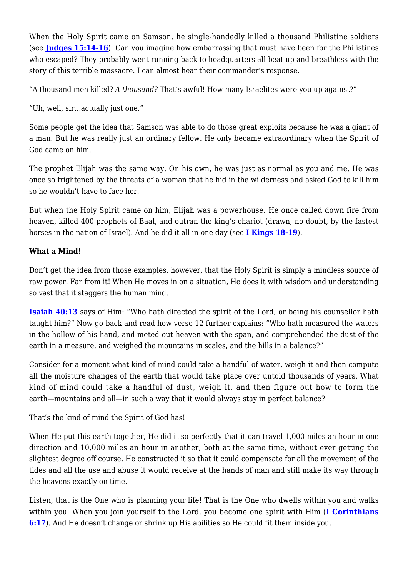When the Holy Spirit came on Samson, he single-handedly killed a thousand Philistine soldiers (see **[Judges 15:14-16](http://www.kcm.org/bible/5/JUG/15/14#v14)**). Can you imagine how embarrassing that must have been for the Philistines who escaped? They probably went running back to headquarters all beat up and breathless with the story of this terrible massacre. I can almost hear their commander's response.

"A thousand men killed? *A thousand?* That's awful! How many Israelites were you up against?"

"Uh, well, sir…actually just one."

Some people get the idea that Samson was able to do those great exploits because he was a giant of a man. But he was really just an ordinary fellow. He only became extraordinary when the Spirit of God came on him.

The prophet Elijah was the same way. On his own, he was just as normal as you and me. He was once so frightened by the threats of a woman that he hid in the wilderness and asked God to kill him so he wouldn't have to face her.

But when the Holy Spirit came on him, Elijah was a powerhouse. He once called down fire from heaven, killed 400 prophets of Baal, and outran the king's chariot (drawn, no doubt, by the fastest horses in the nation of Israel). And he did it all in one day (see **[I Kings 18-19](http://www.kcm.org/bible/5/1KG/18)**).

#### **What a Mind!**

Don't get the idea from those examples, however, that the Holy Spirit is simply a mindless source of raw power. Far from it! When He moves in on a situation, He does it with wisdom and understanding so vast that it staggers the human mind.

**[Isaiah 40:13](http://www.kcm.org/bible/5/ISA/40/13#v13)** says of Him: "Who hath directed the spirit of the Lord, or being his counsellor hath taught him?" Now go back and read how verse 12 further explains: "Who hath measured the waters in the hollow of his hand, and meted out heaven with the span, and comprehended the dust of the earth in a measure, and weighed the mountains in scales, and the hills in a balance?"

Consider for a moment what kind of mind could take a handful of water, weigh it and then compute all the moisture changes of the earth that would take place over untold thousands of years. What kind of mind could take a handful of dust, weigh it, and then figure out how to form the earth—mountains and all—in such a way that it would always stay in perfect balance?

That's the kind of mind the Spirit of God has!

When He put this earth together, He did it so perfectly that it can travel 1,000 miles an hour in one direction and 10,000 miles an hour in another, both at the same time, without ever getting the slightest degree off course. He constructed it so that it could compensate for all the movement of the tides and all the use and abuse it would receive at the hands of man and still make its way through the heavens exactly on time.

Listen, that is the One who is planning your life! That is the One who dwells within you and walks within you. When you join yourself to the Lord, you become one spirit with Him (**[I Corinthians](http://www.kcm.org/bible/5/1CO/6/17#v17) [6:17](http://www.kcm.org/bible/5/1CO/6/17#v17)**). And He doesn't change or shrink up His abilities so He could fit them inside you.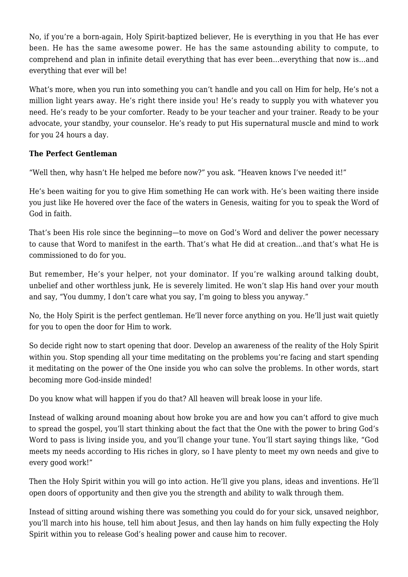No, if you're a born-again, Holy Spirit-baptized believer, He is everything in you that He has ever been. He has the same awesome power. He has the same astounding ability to compute, to comprehend and plan in infinite detail everything that has ever been…everything that now is…and everything that ever will be!

What's more, when you run into something you can't handle and you call on Him for help, He's not a million light years away. He's right there inside you! He's ready to supply you with whatever you need. He's ready to be your comforter. Ready to be your teacher and your trainer. Ready to be your advocate, your standby, your counselor. He's ready to put His supernatural muscle and mind to work for you 24 hours a day.

## **The Perfect Gentleman**

"Well then, why hasn't He helped me before now?" you ask. "Heaven knows I've needed it!"

He's been waiting for you to give Him something He can work with. He's been waiting there inside you just like He hovered over the face of the waters in Genesis, waiting for you to speak the Word of God in faith.

That's been His role since the beginning—to move on God's Word and deliver the power necessary to cause that Word to manifest in the earth. That's what He did at creation…and that's what He is commissioned to do for you.

But remember, He's your helper, not your dominator. If you're walking around talking doubt, unbelief and other worthless junk, He is severely limited. He won't slap His hand over your mouth and say, "You dummy, I don't care what you say, I'm going to bless you anyway."

No, the Holy Spirit is the perfect gentleman. He'll never force anything on you. He'll just wait quietly for you to open the door for Him to work.

So decide right now to start opening that door. Develop an awareness of the reality of the Holy Spirit within you. Stop spending all your time meditating on the problems you're facing and start spending it meditating on the power of the One inside you who can solve the problems. In other words, start becoming more God-inside minded!

Do you know what will happen if you do that? All heaven will break loose in your life.

Instead of walking around moaning about how broke you are and how you can't afford to give much to spread the gospel, you'll start thinking about the fact that the One with the power to bring God's Word to pass is living inside you, and you'll change your tune. You'll start saying things like, "God meets my needs according to His riches in glory, so I have plenty to meet my own needs and give to every good work!"

Then the Holy Spirit within you will go into action. He'll give you plans, ideas and inventions. He'll open doors of opportunity and then give you the strength and ability to walk through them.

Instead of sitting around wishing there was something you could do for your sick, unsaved neighbor, you'll march into his house, tell him about Jesus, and then lay hands on him fully expecting the Holy Spirit within you to release God's healing power and cause him to recover.